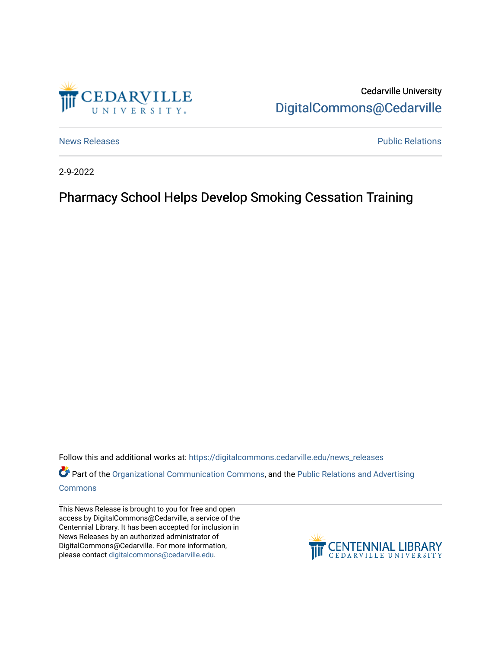

Cedarville University [DigitalCommons@Cedarville](https://digitalcommons.cedarville.edu/) 

[News Releases](https://digitalcommons.cedarville.edu/news_releases) **Public Relations Public Relations** 

2-9-2022

## Pharmacy School Helps Develop Smoking Cessation Training

Follow this and additional works at: [https://digitalcommons.cedarville.edu/news\\_releases](https://digitalcommons.cedarville.edu/news_releases?utm_source=digitalcommons.cedarville.edu%2Fnews_releases%2F1494&utm_medium=PDF&utm_campaign=PDFCoverPages) 

Part of the [Organizational Communication Commons](http://network.bepress.com/hgg/discipline/335?utm_source=digitalcommons.cedarville.edu%2Fnews_releases%2F1494&utm_medium=PDF&utm_campaign=PDFCoverPages), and the [Public Relations and Advertising](http://network.bepress.com/hgg/discipline/336?utm_source=digitalcommons.cedarville.edu%2Fnews_releases%2F1494&utm_medium=PDF&utm_campaign=PDFCoverPages)  [Commons](http://network.bepress.com/hgg/discipline/336?utm_source=digitalcommons.cedarville.edu%2Fnews_releases%2F1494&utm_medium=PDF&utm_campaign=PDFCoverPages)

This News Release is brought to you for free and open access by DigitalCommons@Cedarville, a service of the Centennial Library. It has been accepted for inclusion in News Releases by an authorized administrator of DigitalCommons@Cedarville. For more information, please contact [digitalcommons@cedarville.edu](mailto:digitalcommons@cedarville.edu).

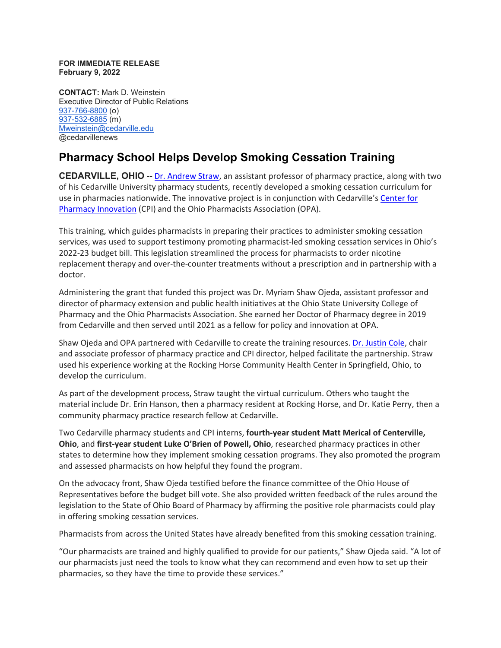## **FOR IMMEDIATE RELEASE February 9, 2022**

**CONTACT:** Mark D. Weinstein Executive Director of Public Relations [937-766-8800](tel:937-766-8800) (o) [937-532-6885](tel:937-532-6885) (m) [Mweinstein@cedarville.edu](mailto:Mweinstein@cedarville.edu) @cedarvillenews

## **Pharmacy School Helps Develop Smoking Cessation Training**

**CEDARVILLE, OHIO --** [Dr. Andrew Straw,](https://www.cedarville.edu/academic-schools-and-departments/pharmacy/pre-pharmacy/faculty-staff/pharm-pract/straw-andrew) an assistant professor of pharmacy practice, along with two of his Cedarville University pharmacy students, recently developed a smoking cessation curriculum for use in pharmacies nationwide. The innovative project is in conjunction with Cedarville's [Center for](https://www.cedarville.edu/center-for-pharmacy-innovation)  [Pharmacy Innovation](https://www.cedarville.edu/center-for-pharmacy-innovation) (CPI) and the Ohio Pharmacists Association (OPA).

This training, which guides pharmacists in preparing their practices to administer smoking cessation services, was used to support testimony promoting pharmacist-led smoking cessation services in Ohio's 2022-23 budget bill. This legislation streamlined the process for pharmacists to order nicotine replacement therapy and over-the-counter treatments without a prescription and in partnership with a doctor.

Administering the grant that funded this project was Dr. Myriam Shaw Ojeda, assistant professor and director of pharmacy extension and public health initiatives at the Ohio State University College of Pharmacy and the Ohio Pharmacists Association. She earned her Doctor of Pharmacy degree in 2019 from Cedarville and then served until 2021 as a fellow for policy and innovation at OPA.

Shaw Ojeda and OPA partnered with Cedarville to create the training resources. [Dr. Justin Cole,](https://www.cedarville.edu/academic-schools-and-departments/pharmacy/pre-pharmacy/faculty-staff/pharm-pract/cole-justin) chair and associate professor of pharmacy practice and CPI director, helped facilitate the partnership. Straw used his experience working at the Rocking Horse Community Health Center in Springfield, Ohio, to develop the curriculum.

As part of the development process, Straw taught the virtual curriculum. Others who taught the material include Dr. Erin Hanson, then a pharmacy resident at Rocking Horse, and Dr. Katie Perry, then a community pharmacy practice research fellow at Cedarville.

Two Cedarville pharmacy students and CPI interns, **fourth-year student Matt Merical of Centerville, Ohio**, and **first-year student Luke O'Brien of Powell, Ohio**, researched pharmacy practices in other states to determine how they implement smoking cessation programs. They also promoted the program and assessed pharmacists on how helpful they found the program.

On the advocacy front, Shaw Ojeda testified before the finance committee of the Ohio House of Representatives before the budget bill vote. She also provided written feedback of the rules around the legislation to the State of Ohio Board of Pharmacy by affirming the positive role pharmacists could play in offering smoking cessation services.

Pharmacists from across the United States have already benefited from this smoking cessation training.

"Our pharmacists are trained and highly qualified to provide for our patients," Shaw Ojeda said. "A lot of our pharmacists just need the tools to know what they can recommend and even how to set up their pharmacies, so they have the time to provide these services."